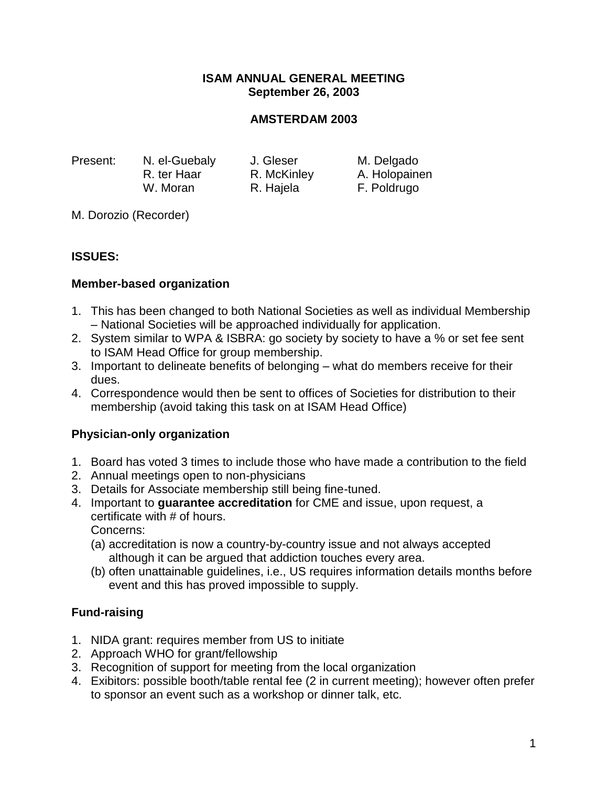### **ISAM ANNUAL GENERAL MEETING September 26, 2003**

### **AMSTERDAM 2003**

Present: N. el-Guebaly J. Gleser M. Delgado

W. Moran R. Hajela F. Poldrugo

R. ter Haar R. McKinley A. Holopainen

M. Dorozio (Recorder)

### **ISSUES:**

### **Member-based organization**

- 1. This has been changed to both National Societies as well as individual Membership – National Societies will be approached individually for application.
- 2. System similar to WPA & ISBRA: go society by society to have a % or set fee sent to ISAM Head Office for group membership.
- 3. Important to delineate benefits of belonging what do members receive for their dues.
- 4. Correspondence would then be sent to offices of Societies for distribution to their membership (avoid taking this task on at ISAM Head Office)

## **Physician-only organization**

- 1. Board has voted 3 times to include those who have made a contribution to the field
- 2. Annual meetings open to non-physicians
- 3. Details for Associate membership still being fine-tuned.
- 4. Important to **guarantee accreditation** for CME and issue, upon request, a certificate with # of hours.

Concerns:

- (a) accreditation is now a country-by-country issue and not always accepted although it can be argued that addiction touches every area.
- (b) often unattainable guidelines, i.e., US requires information details months before event and this has proved impossible to supply.

## **Fund-raising**

- 1. NIDA grant: requires member from US to initiate
- 2. Approach WHO for grant/fellowship
- 3. Recognition of support for meeting from the local organization
- 4. Exibitors: possible booth/table rental fee (2 in current meeting); however often prefer to sponsor an event such as a workshop or dinner talk, etc.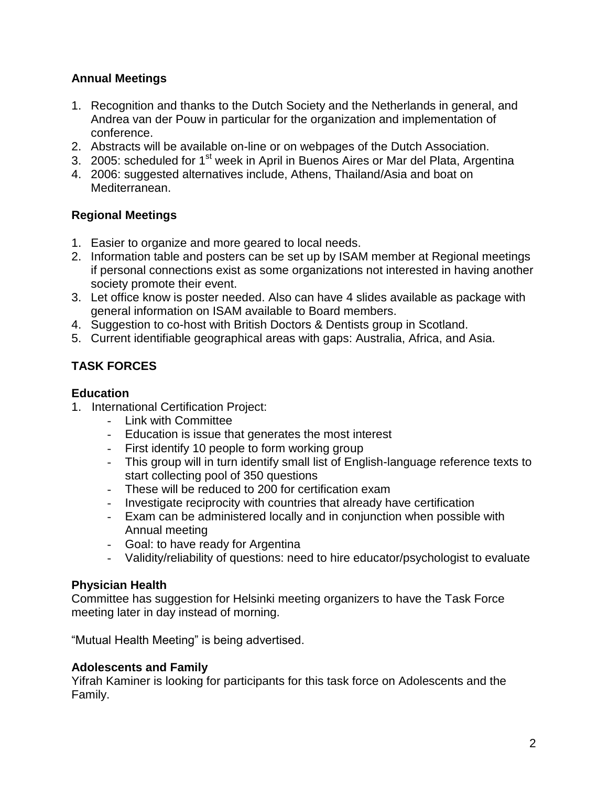## **Annual Meetings**

- 1. Recognition and thanks to the Dutch Society and the Netherlands in general, and Andrea van der Pouw in particular for the organization and implementation of conference.
- 2. Abstracts will be available on-line or on webpages of the Dutch Association.
- 3. 2005: scheduled for 1<sup>st</sup> week in April in Buenos Aires or Mar del Plata, Argentina
- 4. 2006: suggested alternatives include, Athens, Thailand/Asia and boat on Mediterranean.

## **Regional Meetings**

- 1. Easier to organize and more geared to local needs.
- 2. Information table and posters can be set up by ISAM member at Regional meetings if personal connections exist as some organizations not interested in having another society promote their event.
- 3. Let office know is poster needed. Also can have 4 slides available as package with general information on ISAM available to Board members.
- 4. Suggestion to co-host with British Doctors & Dentists group in Scotland.
- 5. Current identifiable geographical areas with gaps: Australia, Africa, and Asia.

# **TASK FORCES**

### **Education**

- 1. International Certification Project:
	- Link with Committee
	- Education is issue that generates the most interest
	- First identify 10 people to form working group
	- This group will in turn identify small list of English-language reference texts to start collecting pool of 350 questions
	- These will be reduced to 200 for certification exam
	- Investigate reciprocity with countries that already have certification
	- Exam can be administered locally and in conjunction when possible with Annual meeting
	- Goal: to have ready for Argentina
	- Validity/reliability of questions: need to hire educator/psychologist to evaluate

## **Physician Health**

Committee has suggestion for Helsinki meeting organizers to have the Task Force meeting later in day instead of morning.

"Mutual Health Meeting" is being advertised.

### **Adolescents and Family**

Yifrah Kaminer is looking for participants for this task force on Adolescents and the Family.